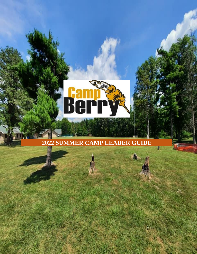

**2022 SUMMER CAMP LEADER GUIDE**

1

W

rb,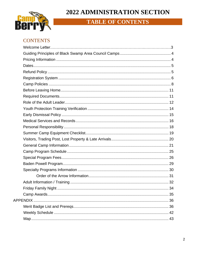## 2022 ADMINISTRATION SECTION



## **TABLE OF CONTENTS**

### **CONTENTS**

| <b>Fridav Family Night</b> | 34 |
|----------------------------|----|
|                            |    |
|                            |    |
|                            |    |
|                            |    |
|                            |    |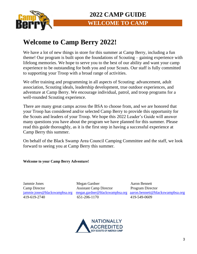

# **Welcome to Camp Berry 2022!**

We have a lot of new things in store for this summer at Camp Berry, including a fun theme! Our program is built upon the foundations of Scouting – gaining experience with lifelong memories. We hope to serve you to the best of our ability and want your camp experience to be outstanding for both you and your Scouts. Our staff is fully committed to supporting your Troop with a broad range of activities.

We offer training and programming in all aspects of Scouting: advancement, adult association, Scouting ideals, leadership development, true outdoor experiences, and adventure at Camp Berry. We encourage individual, patrol, and troop programs for a well-rounded Scouting experience.

There are many great camps across the BSA to choose from, and we are honored that your Troop has considered and/or selected Camp Berry to provide this opportunity for the Scouts and leaders of your Troop. We hope this 2022 Leader's Guide will answer many questions you have about the program we have planned for this summer. Please read this guide thoroughly, as it is the first step in having a successful experience at Camp Berry this summer.

On behalf of the Black Swamp Area Council Camping Committee and the staff, we look forward to seeing you at Camp Berry this summer.

**Welcome to your Camp Berry Adventure!**

Jammie Jones Megan Gardner Aaron Bennett Camp Director Assistant Camp Director Program Director 419-619-2740 651-206-1170 419-549-0609

[jammie.jones@blackswampbsa.org](mailto:jjones12298@gmail.com) [megan.gardner@blackswampbsa.org](mailto:megan.gardner@blackswampbsa.org) [aaron.bennett@blackswampbsa.org](mailto:aaron.bennett@blackswampbsa.org)

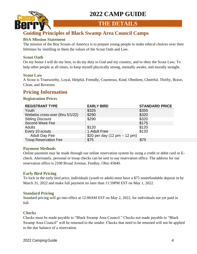

### **THE DETAILS**

## <span id="page-3-0"></span>**Guiding Principles of Black Swamp Area Council Camps**

### **BSA Mission Statement**

The mission of the Boy Scouts of America is to prepare young people to make ethical choices over their lifetimes by instilling in them the values of the Scout Oath and Law.

### **Scout Oath**

On my honor I will do my best, to do my duty to God and my country, and to obey the Scout Law; To help other people at all times, to keep myself physically strong, mentally awake, and morally straight.

### **Scout Law**

A Scout is Trustworthy, Loyal, Helpful, Friendly, Courteous, Kind, Obedient, Cheerful, Thrifty, Brave, Clean, and Reverent.

### **Pricing Information**

### **Registration Prices**

| <b>REGISTRANT TYPE</b>           | <b>EARLY BIRD</b>                              | <b>STANDARD PRICE</b> |
|----------------------------------|------------------------------------------------|-----------------------|
| Youth                            | \$325                                          | \$355                 |
| Webelos cross-over (thru 5/1/22) | \$290                                          | \$320                 |
| <b>Sibling Discount</b>          | \$290                                          | \$320                 |
| Second Week Fee                  |                                                | \$175                 |
| <b>Adults</b>                    | \$120                                          | \$120                 |
| Every 10 scouts                  | 1 Adult Free                                   | \$120                 |
| <b>Adult Day Fee</b>             | \$20 per day $(12 \text{ pm} - 12 \text{ pm})$ |                       |
| <b>Troop Reservation Fee</b>     | \$75                                           | \$75                  |
|                                  |                                                |                       |

### **Payment Methods**

Online payment may be made through our online reservation system by using a credit or debit card or Echeck. Alternately, personal or troop checks can be sent to our reservation office. The address for our reservation office is 2100 Broad Avenue, Findlay, Ohio 45840.

### **Early Bird Pricing**

To lock in the early bird price, individuals (youth or adult) must have a \$75 nonrefundable deposit in by March 31, 2022 and make full payment no later than 11:59PM EST on May 1, 2022.

### **Standard Pricing**

Standard pricing will go into effect at 12:00AM EST on May 2, 2022, for individuals not yet paid in full.

### **Checks**

Checks must be made payable to "Black Swamp Area Council." Checks not made payable to "Black Swamp Area Council" will be returned to the sender. Checks that need to be returned will not be applied to the due balance of a reservation.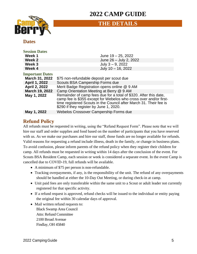

### **THE DETAILS**

### <span id="page-4-0"></span>**Dates**

| <b>Session Dates</b>   |                                                                                                                                                                                                                                                         |  |  |
|------------------------|---------------------------------------------------------------------------------------------------------------------------------------------------------------------------------------------------------------------------------------------------------|--|--|
| Week 1                 | June $19 - 25$ , 2022                                                                                                                                                                                                                                   |  |  |
| Week 2                 | June 26 - July 2, 2022                                                                                                                                                                                                                                  |  |  |
| Week 3                 | July $3 - 9$ , 2022                                                                                                                                                                                                                                     |  |  |
| Week 4                 | July 10 - 16, 2022                                                                                                                                                                                                                                      |  |  |
| <b>Important Dates</b> |                                                                                                                                                                                                                                                         |  |  |
| March 31, 2022         | \$75 non-refundable deposit per scout due                                                                                                                                                                                                               |  |  |
| <b>April 1, 2022</b>   | Scouts BSA Campership Forms due                                                                                                                                                                                                                         |  |  |
| April 2, 2022          | Merit Badge Registration opens online @ 9 AM                                                                                                                                                                                                            |  |  |
| March 19, 2022         | Camp Orientation Meeting at Berry @ 9 AM                                                                                                                                                                                                                |  |  |
| May 1, 2022            | Remainder of camp fees due for a total of \$320. After this date,<br>camp fee is \$355 except for Webelos who cross over and/or first-<br>time registered Scouts in the Council after March 31. Their fee is<br>\$290 if they register by June 1, 2020. |  |  |
| May 1, 2022            | <b>Webelos Crossover Campership Forms due</b>                                                                                                                                                                                                           |  |  |

### <span id="page-4-1"></span>**Refund Policy**

All refunds must be requested in writing, using the "Refund Request Form". Please note that we will hire our staff and order supplies and food based on the number of participants that you have reserved with us. As we make our purchases and hire our staff, those funds are no longer available for refunds. Valid reasons for requesting a refund include illness, death in the family, or change in business plans. To avoid confusion, please inform parents of the refund policy when they register their children for camp. All refunds must be requested in writing within 14 days after the conclusion of the event. For Scouts BSA Resident Camp, each session or week is considered a separate event. In the event Camp is cancelled due to COVID-19, full refunds will be available.

- A minimum of \$75 per person is non-refundable.
- Tracking overpayments, if any, is the responsibility of the unit. The refund of any overpayments should be handled at either the 10-Day Out Meeting, or during check-in at camp.
- Unit paid fees are only transferable within the same unit to a Scout or adult leader not currently registered for that specific activity.
- If a refund request is approved, refund checks will be issued to the individual or entity paying the original fee within 30 calendar days of approval.
- Mail written refund requests to: Black Swamp Area Council Attn: Refund Committee 2100 Broad Avenue Findlay, OH 45840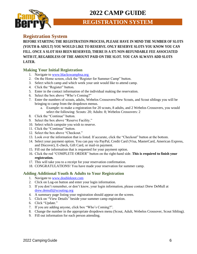

**REGISTRATION SYSTEM**

### <span id="page-5-0"></span>**Registration System**

**BEFORE STARTING THE REGISTRATION PROCESS, PLEASE HAVE IN MIND THE NUMBER OF SLOTS (YOUTH & ADULT) YOU WOULD LIKE TO RESERVE. ONLY RESERVE SLOTS YOU KNOW YOU CAN FILL. ONCE A SLOT HAS BEEN RESERVED, THERE IS A \$75 NON-REFUNDABLE FEE ASSOCIATED WITH IT, REGARDLESS OF THE AMOUNT PAID ON THE SLOT. YOU CAN ALWAYS ADD SLOTS LATER.**

### **Making Your Initial Registration**

- 1. Navigate to www.blackswampbsa.org
- 2. On the Home screen, click the "Register for Summer Camp" button.
- 3. Select which camp and which week your unit would like to attend camp.
- 4. Click the "Register" button.
- 5. Enter in the contact information of the individual making the reservation.
- 6. Select the box above "Who's Coming?"
- 7. Enter the numbers of scouts, adults, Webelos Crossovers/New Scouts, and Scout siblings you will be bringing to camp from the dropdown menus.
	- a. Example: to make a registration for 20 scouts, 8 adults, and 2 Webelos Crossovers, you would select the following: Scouts: 20; Adults: 8; Webelos Crossovers: 2
- 8. Click the "Continue" button.
- 9. Select the box above "Reserve Facility."
- 10. Select which campsite you wish to reserve.
- 11. Click the "Continue" button.
- 12. Select the box above "Checkout."
- 13. Look over the information that is listed. If accurate, click the "Checkout" button at the bottom.
- 14. Select your payment option. You can pay via PayPal, Credit Card (Visa, MasterCard, American Express, and Discover), E-check, Gift Card, or mail-in payment.
- 15. Fill out the information that is requested for your payment option.
- 16. Click the red "COMPLETE ORDER" button on the right-hand side. **This is required to finish your registration.**
- 17. This will take you to a receipt for your reservation confirmation.
- 18. CONGRATULATIONS! You have made your reservation for summer camp.

#### **Adding Additional Youth & Adults to Your Registration**

- 1. Navigate to [www.doubleknot.com](http://www.doubleknot.com/)
- 2. Click on Log-on button and enter your login information.
- 3. If you don't remember, or don't know, your login information, please contact Drew DeMull at [drew.demull@scouting.org](mailto:drew.demull@scouting.org)
- 4. A summary page listing your registration should appear on the screen.
- 5. Click on "View Details" beside your summer camp registration.
- 6. Click "Update."
- 7. If you are adding anyone, click box "Who's Coming?".
- 8. Change the number in the appropriate dropdown menu (Scout, Adult, Webelos Crossover, Scout Sibling).
- 9. Fill out information for each person attending.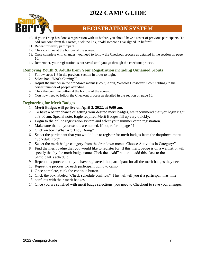

### **REGISTRATION SYSTEM**

- 10. If your Troop has done a registration with us before, you should have a roster of previous participants. To add someone from this roster, click the link, "Add someone I've signed up before".
- 11. Repeat for every participant.
- 12. Click continue at the bottom of the screen.
- 13. Once complete with changes, you need to follow the Checkout process as detailed in the section on page 10.
- 14. Remember, your registration is not saved until you go through the checkout process.

### **Removing Youth & Adults from Your Registration including Unnamed Scouts**

- 1. Follow steps 1-6 in the previous section in order to login.
- 2. Select box "Who's Coming?".
- 3. Adjust the number in the dropdown menus (Scout, Adult, Webelos Crossover, Scout Sibling) to the correct number of people attending.
- 4. Click the continue button at the bottom of the screen.
- 5. You now need to follow the Checkout process as detailed in the section on page 10.

### **Registering for Merit Badges**

- 1. **Merit Badges will go live on April 2, 2022, at 9:00 am.**
- 2. To have a better chance of getting your desired merit badges, we recommend that you login right at 9:00 am. Special note: Eagle required Merit Badges fill up very quickly.
- 3. Login to the online registration system and select your summer camp registration.
- 4. Make sure that all your scouts are named. If not, refer to page 11.
- 5. Click on box "What Are They Doing?"
- 6. Select the participant that you would like to register for merit badges from the dropdown menu "Schedule For:"
- 7. Select the merit badge category from the dropdown menu "Choose Activities in Category:".
- 8. Find the merit badge that you would like to register for. If this merit badge is on a waitlist, it will specify that by the merit badge name. Click the "Add" button to add this class to the participant's schedule.
- 9. Repeat this process until you have registered that participant for all the merit badges they need.
- 10. Repeat the process for each participant going to camp.
- 11. Once complete, click the continue button.
- 12. Click the box labeled "Check schedule conflicts". This will tell you if a participant has time
- 13. conflicts with their merit badges.
- 14. Once you are satisfied with merit badge selections, you need to Checkout to save your changes.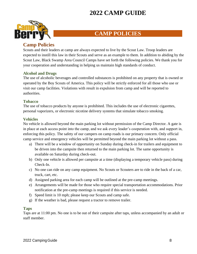

## **CAMP POLICIES**

### <span id="page-7-0"></span>**Camp Policies**

Scouts and their leaders at camp are always expected to live by the Scout Law. Troop leaders are expected to instill this law in their Scouts and serve as an example to them. In addition to abiding by the Scout Law, Black Swamp Area Council Camps have set forth the following policies. We thank you for your cooperation and understanding in helping us maintain high standards of conduct.

### **Alcohol and Drugs**

The use of alcoholic beverages and controlled substances is prohibited on any property that is owned or operated by the Boy Scouts of America. This policy will be strictly enforced for all those who use or visit our camp facilities. Violations with result in expulsion from camp and will be reported to authorities.

### **Tobacco**

The use of tobacco products by anyone is prohibited. This includes the use of electronic cigarettes, personal vaporizers, or electronic nicotine delivery systems that simulate tobacco smoking.

### **Vehicles**

No vehicle is allowed beyond the main parking lot without permission of the Camp Director. A gate is in place at each access point into the camp, and we ask every leader's cooperation with, and support in, enforcing this policy. The safety of our campers on camp roads is our primary concern. Only official camp service and emergency vehicles will be permitted beyond the main parking lot without a pass.

- a) There will be a window of opportunity on Sunday during check-in for trailers and equipment to be driven into the campsite then returned to the main parking lot. The same opportunity is available on Saturday during check-out.
- b) Only one vehicle is allowed per campsite at a time (displaying a temporary vehicle pass) during Check-In.
- c) No one can ride on any camp equipment. No Scouts or Scouters are to ride in the back of a car, truck, cart, etc.
- d) Assigned parking area for each camp will be outlined at the pre-camp meetings.
- e) Arrangements will be made for those who require special transportation accommodations. Prior notification at the pre-camp meetings is required if this service is needed.
- f) Speed limit is 10 mph; please keep our Scouts and camp safe.
- g) If the weather is bad, please request a tractor to remove trailer.

### **Taps**

Taps are at 11:00 pm. No one is to be out of their campsite after taps, unless accompanied by an adult or staff member.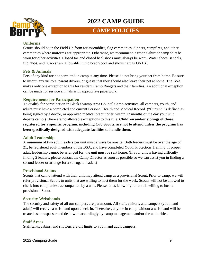

### **CAMP POLICIES**

#### **Uniforms**

Scouts should be in the Field Uniform for assemblies, flag ceremonies, dinners, campfires, and other ceremonies where uniforms are appropriate. Otherwise, we recommend a troop t-shirt or camp shirt be worn for other activities. Closed toe and closed heel shoes must always be worn. Water shoes, sandals, flip flops, and "Crocs" are allowable in the beach/pool and shower areas **ONLY**.

#### **Pets & Animals**

Pets of any kind are not permitted in camp at any time. Please do not bring your pet from home. Be sure to inform any visitors, parent drivers, or guests that they should also leave their pet at home. The BSA makes only one exception to this for resident Camp Rangers and their families. An additional exception can be made for service animals with appropriate paperwork.

#### **Requirements for Participation**

To qualify for participation in Black Swamp Area Council Camp activities, all campers, youth, and adults must have a completed and current Personal Health and Medical Record. ("Current" is defined as being signed by a doctor, or approved medical practitioner, within 12 months of the day your unit departs camp.) There are no allowable exceptions to this rule. **Children and/or siblings of those registered for a specific program, including Cub Scouts, are not to attend unless the program has been specifically designed with adequate facilities to handle them.**

#### **Adult Leadership**

A minimum of two adult leaders per unit must always be on-site. Both leaders must be over the age of 21, be registered adult members of the BSA, and have completed Youth Protection Training. If proper adult leadership cannot be arranged for, the unit must be sent home. (If your unit is having difficulty finding 2 leaders, please contact the Camp Director as soon as possible so we can assist you in finding a second leader or arrange for a surrogate leader.)

#### **Provisional Scouts**

Scouts that cannot attend with their unit may attend camp as a provisional Scout. Prior to camp, we will refer provisional Scouts to units that are willing to host them for the week. Scouts will not be allowed to check into camp unless accompanied by a unit. Please let us know if your unit is willing to host a provisional Scout.

#### **Security Wristbands**

The security and safety of all our campers are paramount. All staff, visitors, and campers (youth and adult) will receive a wristband upon check-in. Thereafter, anyone in camp without a wristband will be treated as a trespasser and dealt with accordingly by camp management and/or the authorities.

#### **Staff Areas**

Staff tents, cabins, and showers are off limits to youth and adult campers.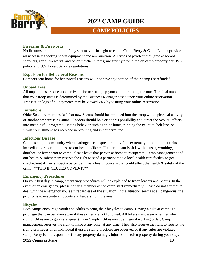

### **CAMP POLICIES**

### **Firearms & Fireworks**

No firearms or ammunition of any sort may be brought to camp. Camp Berry & Camp Lakota provide all necessary shooting sports equipment and ammunition. All types of pyrotechnics (smoke bombs, sparklers, aerial fireworks, and other match-lit items) are strictly prohibited on camp property per BSA policy and U.S. Forest Service regulations.

#### **Expulsion for Behavioral Reasons**

Campers sent home for behavioral reasons will not have any portion of their camp fee refunded.

### **Unpaid Fees**

All unpaid fees are due upon arrival prior to setting up your camp or taking the tour. The final amount that your troop owes is determined by the Business Manager based upon your online reservation. Transaction logs of all payments may be viewed 24/7 by visiting your online reservation.

#### **Initiations**

Older Scouts sometimes feel that new Scouts should be "initiated into the troop with a physical activity or another embarrassing stunt." Leaders should be alert to this possibility and direct the Scouts' efforts into meaningful programs. Hazing behavior such as snipe hunts, running the gauntlet, belt line, or similar punishment has no place in Scouting and is not permitted.

#### **Infectious Disease**

Camp is a tight community where pathogens can spread rapidly. It is extremely important that units immediately report all illness to our health officers. If a participant is sick with nausea, vomiting, diarrhea, or fever prior to camp, please leave that person at home to recuperate. Camp Management and our health & safety team reserve the right to send a participant to a local health care facility to get checked-out if they suspect a participant has a health concern that could affect the health & safety of the camp. \*\*THIS INCLUDES COVID-19\*\*

#### **Emergency Procedures**

On your first day in camp, emergency procedures will be explained to troop leaders and Scouts. In the event of an emergency, please notify a member of the camp staff immediately. Please do not attempt to deal with the emergency yourself, regardless of the situation. If the situation seems at all dangerous, the priority is to evacuate all Scouts and leaders from the area.

#### **Bicycles**

2022 Camping Guide 2022 Camping Guide Both camps encourage youth and adults to bring their bicycles to camp. Having a bike at camp is a privilege that can be taken away if these rules are not followed: All bikers must wear a helmet when riding; Bikes are to go a safe speed (under 5 mph); Bikes must be in good working order; Camp management reserves the right to inspect any bike, at any time; They also reserve the right to restrict the riding privileges of an individual if unsafe riding practices are observed or if any rules are violated. Camp Berry is not responsible for any property damage, injuries, or stolen property during your stay.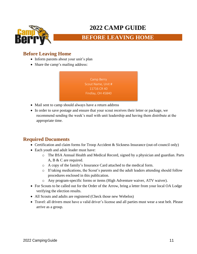

### **BEFORE LEAVING HOME**

### <span id="page-10-0"></span>**Before Leaving Home**

- Inform parents about your unit's plan
- Share the camp's mailing address:

Camp Berry Scout Name, Unit # 11716 CR 40 Findlay, OH 45840

- Mail sent to camp should always have a return address
- In order to save postage and ensure that your scout receives their letter or package, we recommend sending the week's mail with unit leadership and having them distribute at the appropriate time.

### <span id="page-10-1"></span>**Required Documents**

- Certification and claim forms for Troop Accident & Sickness Insurance (out-of-council only)
- Each youth and adult leader must have:
	- o The BSA Annual Health and Medical Record, signed by a physician and guardian. Parts A, B & C are required.
	- o A copy of the family's Insurance Card attached to the medical form.
	- o If taking medications, the Scout's parents and the adult leaders attending should follow procedures enclosed in this publication.
	- o Any program-specific forms or items (High Adventure waiver, ATV waiver).
- For Scouts to be called out for the Order of the Arrow, bring a letter from your local OA Lodge verifying the election results.
- All Scouts and adults are registered (Check those new Webelos)
- Travel: all drivers must have a valid driver's license and all parties must wear a seat belt. Please arrive as a group.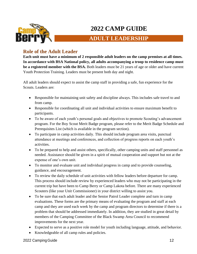

## **ADULT LEADERSHIP**

### <span id="page-11-0"></span>**Role of the Adult Leader**

**Each unit must have a minimum of 2 responsible adult leaders on the camp premises at all times. In accordance with BSA National policy, all adults accompanying a troop to residence camp must be a registered member with the BSA.** Both leaders must be 21 years of age or older and have current Youth Protection Training. Leaders must be present both day and night.

All adult leaders should expect to assist the camp staff in providing a safe, fun experience for the Scouts. Leaders are:

- Responsible for maintaining unit safety and discipline always. This includes safe travel to and from camp.
- Responsible for coordinating all unit and individual activities to ensure maximum benefit to participants.
- To be aware of each youth's personal goals and objectives to promote Scouting's advancement program. For the Boy Scout Merit Badge program, please refer to the Merit Badge Schedule and Prerequisites List (which is available in the program section).
- To participate in camp activities daily. This should include program area visits, punctual attendance at meetings and conferences, and collection of progress reports on each youth's activities.
- To be prepared to help and assist others, specifically, other camping units and staff personnel as needed. Assistance should be given in a spirit of mutual cooperation and support but not at the expense of one's own unit.
- To monitor and evaluate unit and individual progress in camp and to provide counseling, guidance, and encouragement.
- To review the daily schedule of unit activities with fellow leaders before departure for camp. This process should include review by experienced leaders who may not be participating in the current trip but have been to Camp Berry or Camp Lakota before. There are many experienced Scouters (like your Unit Commissioner) in your district willing to assist you.
- To be sure that each adult leader and the Senior Patrol Leader complete and turn in camp evaluations. These forms are the primary means of evaluating the program and staff at each camp and they are used each week by the camp and program directors to determine if there is a problem that should be addressed immediately. In addition, they are studied in great detail by members of the Camping Committee of the Black Swamp Area Council to recommend improvements for the next year.
- Expected to serve as a positive role model for youth including language, attitude, and behavior.
- Knowledgeable of all camp rules and policies.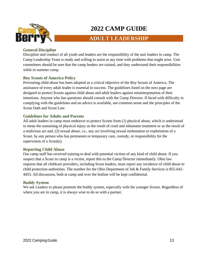

## **ADULT LEADERSHIP**

### **General Discipline**

Discipline and conduct of all youth and leaders are the responsibility of the unit leaders in camp. The Camp Leadership Team is ready and willing to assist at any time with problems that might arise. Unit committees should be sure that the camp leaders are trained, and they understand their responsibilities while in summer camp.

### **Boy Scouts of America Policy**

Preventing child abuse has been adopted as a critical objective of the Boy Scouts of America. The assistance of every adult leader is essential to success. The guidelines listed on the next page are designed to protect Scouts against child abuse and adult leaders against misinterpretation of their intentions. Anyone who has questions should consult with the Camp Director. If faced with difficulty in complying with the guidelines and no advice is available, use common sense and the principles of the Scout Oath and Scout Law.

### **Guidelines for Adults and Parents**

All adult leaders in camp must endeavor to protect Scouts from (1) physical abuse, which is understood to mean the sustaining of physical injury as the result of cruel and inhumane treatment or as the result of a malicious act and, (2) sexual abuse, i.e., any act involving sexual molestation or exploitation of a Scout, by any person who has permanent or temporary care, custody, or responsibility for the supervision of a Scout(s).

### **Reporting Child Abuse**

Our camp staff has received training to deal with potential victims of any kind of child abuse. If you suspect that a Scout in camp is a victim, report this to the Camp Director immediately. Ohio law requires that all childcare providers, including Scout leaders, must report any incidence of child abuse to child protection authorities. The number for the Ohio Department of Job & Family Services is 855-642- 4453. All discussion, both at camp and over the hotline will be kept confidential.

### **Buddy System**

We ask Leaders to please promote the buddy system, especially with the younger Scouts. Regardless of where you are in camp, it is always wise to do so with a partner.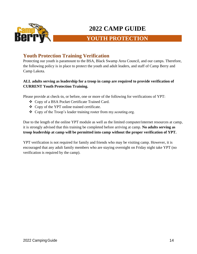

## **YOUTH PROTECTION**

### <span id="page-13-0"></span>**Youth Protection Training Verification**

Protecting our youth is paramount to the BSA, Black Swamp Area Council, and our camps. Therefore, the following policy is in place to protect the youth and adult leaders, and staff of Camp Berry and Camp Lakota.

### **ALL adults serving as leadership for a troop in camp are required to provide verification of CURRENT Youth Protection Training.**

Please provide at check-in, or before, one or more of the following for verifications of YPT:

- ❖ Copy of a BSA Pocket Certificate Trained Card.
- ❖ Copy of the YPT online trained certificate.
- ❖ Copy of the Troop's leader training roster from my.scouting.org.

Due to the length of the online YPT module as well as the limited computer/internet resources at camp, it is strongly advised that this training be completed before arriving at camp. **No adults serving as troop leadership at camp will be permitted into camp without the proper verification of YPT.**

YPT verification is not required for family and friends who may be visiting camp. However, it is encouraged that any adult family members who are staying overnight on Friday night take YPT (no verification is required by the camp).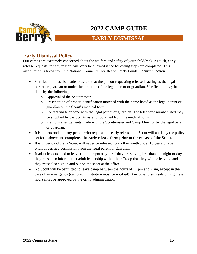

## **EARLY DISMISSAL**

### <span id="page-14-0"></span>**Early Dismissal Policy**

Our camps are extremely concerned about the welfare and safety of your child(ren). As such, early release requests, for any reason, will only be allowed if the following steps are completed. This information is taken from the National Council's Health and Safety Guide, Security Section.

- Verification must be made to assure that the person requesting release is acting as the legal parent or guardian or under the direction of the legal parent or guardian. Verification may be done by the following:
	- o Approval of the Scoutmaster.
	- o Presentation of proper identification matched with the name listed as the legal parent or guardian on the Scout's medical form.
	- o Contact via telephone with the legal parent or guardian. The telephone number used may be supplied by the Scoutmaster or obtained from the medical form.
	- o Previous arrangements made with the Scoutmaster and Camp Director by the legal parent or guardian.
- It is understood that any person who requests the early release of a Scout will abide by the policy set forth above and **completes the early release form prior to the release of the Scout.**
- It is understood that a Scout will never be released to another youth under 18 years of age without verified permission from the legal parent or guardian.
- If adult leaders need to leave camp temporarily, or if they are staying less than one night or day, they must also inform other adult leadership within their Troop that they will be leaving, and they must also sign in and out on the sheet at the office.
- No Scout will be permitted to leave camp between the hours of 11 pm and 7 am, except in the case of an emergency (camp administration must be notified). Any other dismissals during these hours must be approved by the camp administration.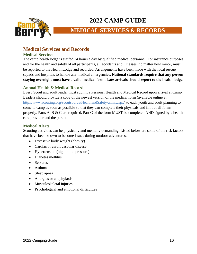

## **MEDICAL SERVICES & RECORDS**

### <span id="page-15-0"></span>**Medical Services and Records**

#### **Medical Services**

The camp health lodge is staffed 24 hours a day by qualified medical personnel. For insurance purposes and for the health and safety of all participants, all accidents and illnesses, no matter how minor, must be reported to the Health Lodge and recorded. Arrangements have been made with the local rescue squads and hospitals to handle any medical emergencies. **National standards require that any person staying overnight must have a valid medical form. Late arrivals should report to the health lodge.**

### **Annual Health & Medical Record**

Every Scout and adult leader must submit a Personal Health and Medical Record upon arrival at Camp. Leaders should provide a copy of the newest version of the medical form (available online at [http://www.scouting.org/scoutsource/HealthandSafety/ahmr.aspx\)](http://www.scouting.org/scoutsource/HealthandSafety/ahmr.aspx) to each youth and adult planning to come to camp as soon as possible so that they can complete their physicals and fill out all forms properly. Parts A, B & C are required. Part C of the form MUST be completed AND signed by a health care provider and the parent.

### **Medical Alerts**

Scouting activities can be physically and mentally demanding. Listed below are some of the risk factors that have been known to become issues during outdoor adventures.

- Excessive body weight (obesity)
- Cardiac or cardiovascular disease
- Hypertension (high blood pressure)
- Diabetes mellitus
- Seizures
- Asthma
- Sleep apnea
- Allergies or anaphylaxis
- Musculoskeletal injuries
- Psychological and emotional difficulties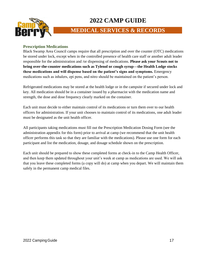

## **MEDICAL SERVICES & RECORDS**

#### **Prescription Medications**

Black Swamp Area Council camps require that all prescription and over the counter (OTC) medications be stored under lock, except when in the controlled presence of health care staff or another adult leader responsible for the administration and /or dispensing of medications. **Please ask your Scouts not to bring over-the-counter medications such as Tylenol or cough syrup—the Health Lodge stocks these medications and will dispense based on the patient's signs and symptoms.** Emergency medications such as inhalers, epi pens, and nitro should be maintained on the patient's person.

Refrigerated medications may be stored at the health lodge or in the campsite if secured under lock and key. All medication should be in a container issued by a pharmacist with the medication name and strength, the dose and dose frequency clearly marked on the container.

Each unit must decide to either maintain control of its medications or turn them over to our health officers for administration. If your unit chooses to maintain control of its medications, one adult leader must be designated as the unit health officer.

All participants taking medications must fill out the Prescription Medication Dosing Form (see the administration appendix for this form) prior to arrival at camp (we recommend that the unit health officer performs this task so that they are familiar with the medications). Please use one form for each participant and list the medication, dosage, and dosage schedule shown on the prescription.

Each unit should be prepared to show these completed forms at check-in to the Camp Health Officer, and then keep them updated throughout your unit's week at camp as medications are used. We will ask that you leave these completed forms (a copy will do) at camp when you depart. We will maintain them safely in the permanent camp medical files.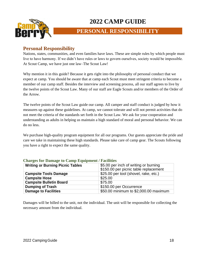

## **PERSONAL RESPONSIBILITY**

### <span id="page-17-0"></span>**Personal Responsibility**

Nations, states, communities, and even families have laws. These are simple rules by which people must live to have harmony. If we didn't have rules or laws to govern ourselves, society would be impossible. At Scout Camp, we have just one law–The Scout Law!

Why mention it in this guide? Because it gets right into the philosophy of personal conduct that we expect at camp. You should be aware that at camp each Scout must meet stringent criteria to become a member of our camp staff. Besides the interview and screening process, all our staff agrees to live by the twelve points of the Scout Law. Many of our staff are Eagle Scouts and/or members of the Order of the Arrow.

The twelve points of the Scout Law guide our camp. All camper and staff conduct is judged by how it measures up against these guidelines. At camp, we cannot tolerate and will not permit activities that do not meet the criteria of the standards set forth in the Scout Law. We ask for your cooperation and understanding as adults in helping us maintain a high standard of moral and personal behavior. We can do no less.

We purchase high-quality program equipment for all our programs. Our guests appreciate the pride and care we take in maintaining these high standards. Please take care of camp gear. The Scouts following you have a right to expect the same quality.

| <b>Writing or Burning Picnic Tables</b> | \$5.00 per inch of writing or burning<br>\$150.00 per picnic table replacement |
|-----------------------------------------|--------------------------------------------------------------------------------|
| <b>Campsite Tools Damage</b>            | \$25.00 per tool (shovel, rake, etc.)                                          |
| <b>Campsite Hose</b>                    | \$25.00                                                                        |
| <b>Campsite Bulletin Board</b>          | \$75.00                                                                        |
| <b>Dumping of Trash</b>                 | \$150.00 per Occurrence                                                        |
| <b>Damage to Facilities</b>             | \$50.00 minimum to \$2,000.00 maximum                                          |

#### **Charges for Damage to Camp Equipment / Facilities**

Damages will be billed to the unit, not the individual. The unit will be responsible for collecting the necessary amount from the individual.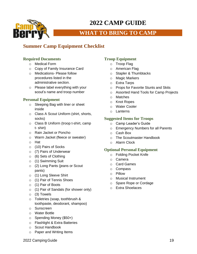

## **WHAT TO BRING TO CAMP**

### <span id="page-18-0"></span>**Summer Camp Equipment Checklist**

### **Required Documents**

- o Medical Form
- o Copy of Family Insurance Card
- o Medications- Please follow procedures listed in the administrative section.
- o Please label everything with your scout's name and troop number

### **Personal Equipment**

- o Sleeping Bag with liner or sheet inside
- o Class A Scout Uniform (shirt, shorts, socks)
- o Class B Uniform (troop t-shirt, camp t- shirt)
- o Rain Jacket or Poncho
- o Warm Jacket (fleece or sweater)
- o Hat
- o (10) Pairs of Socks
- o (7) Pairs of Underwear
- o (6) Sets of Clothing
- o (1) Swimming Suit
- o (2) Long Pants (jeans or Scout pants)
- o (1) Long Sleeve Shirt
- o (1) Pair of Tennis Shoes
- o (1) Pair of Boots
- o (1) Pair of Sandals (for shower only)
- o (3) Towels
- o Toiletries (soap, toothbrush & toothpaste, deodorant, shampoo)
- o Sunscreen
- o Water Bottle
- o Spending Money (\$50+)
- o Flashlight & Extra Batteries
- o Scout Handbook
- o Paper and Writing Items

### **Troop Equipment**

- o Troop Flag
- o American Flag
- o Stapler & Thumbtacks
- o Magic Markers
- o Extra Tarps
- o Props for Favorite Stunts and Skits
- o Assorted Hand Tools for Camp Projects
- o Matches
- o Knot Ropes
- o Water Cooler
- o Lanterns

### **Suggested Items for Troops**

- o Camp Leader's Guide
- o Emergency Numbers for all Parents
- o Cash Box
- o The Scoutmaster Handbook
- o Alarm Clock

### **Optional Personal Equipment**

- o Folding Pocket Knife
- o Camera
- o Card Games
- o Compass
- o Pillow
- o Musical Instrument
- o Spare Rope or Cordage
- o Extra Shoelaces

2022 Camping Guide 19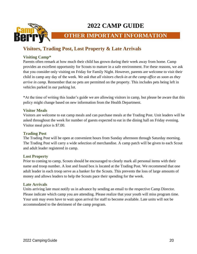

### **OTHER IMPORTANT INFORMATION**

### <span id="page-19-0"></span>**Visitors, Trading Post, Lost Property & Late Arrivals**

#### **Visiting Camp\***

Parents often remark at how much their child has grown during their week away from home. Camp provides an excellent opportunity for Scouts to mature in a safe environment. For these reasons, we ask that you consider only visiting on Friday for Family Night. However, parents are welcome to visit their child in camp any day of the week. *We ask that all visitors check-in at the camp office as soon as they arrive in camp.* Remember that no pets are permitted on the property. This includes pets being left in vehicles parked in our parking lot.

\*At the time of writing this leader's guide we are allowing visitors in camp, but please be aware that this policy might change based on new information from the Health Department.

#### **Visitor Meals**

Visitors are welcome to eat camp meals and can purchase meals at the Trading Post. Unit leaders will be asked throughout the week for number of guests expected to eat in the dining hall on Friday evening. Visitor meal price is \$7.00.

#### **Trading Post**

The Trading Post will be open at convenient hours from Sunday afternoon through Saturday morning. The Trading Post will carry a wide selection of merchandise. A camp patch will be given to each Scout and adult leader registered in camp.

#### **Lost Property**

Prior to coming to camp, Scouts should be encouraged to clearly mark all personal items with their name and troop number. A lost and found box is located at the Trading Post. We recommend that one adult leader in each troop serve as a banker for the Scouts. This prevents the loss of large amounts of money and allows leaders to help the Scouts pace their spending for the week.

#### **Late Arrivals**

Units arriving late must notify us in advance by sending an email to the respective Camp Director. Please indicate which camp you are attending. Please realize that your youth will miss program time. Your unit may even have to wait upon arrival for staff to become available. Late units will not be accommodated to the detriment of the camp program.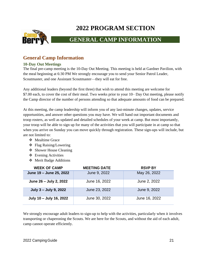

## **GENERAL CAMP INFORMATION**

### <span id="page-20-0"></span>**General Camp Information**

### **10-Day Out Meetings**

The final pre-camp meeting is the 10-Day Out Meeting. This meeting is held at Gardner Pavilion, with the meal beginning at 6:30 PM We strongly encourage you to send your Senior Patrol Leader, Scoutmaster, and one Assistant Scoutmaster—they will eat for free.

Any additional leaders (beyond the first three) that wish to attend this meeting are welcome for \$7.00 each, to cover the cost of their meal. Two weeks prior to your 10– Day Out meeting, please notify the Camp director of the number of persons attending so that adequate amounts of food can be prepared.

At this meeting, the camp leadership will inform you of any last-minute changes, updates, service opportunities, and answer other questions you may have. We will hand out important documents and troop rosters, as well as updated and detailed schedules of your week at camp. But most importantly, your troop will be able to sign up for many of the activities that you will participate in at camp so that when you arrive on Sunday you can move quickly through registration. These sign-ups will include, but are not limited to:

- ❖ Mealtime Grace
- ❖ Flag Raising/Lowering
- ❖ Shower House Cleaning
- ❖ Evening Activities
- ❖ Merit Badge Additions

| <b>WEEK OF CAMP</b>     | <b>MEETING DATE</b> | <b>RSVP BY</b> |
|-------------------------|---------------------|----------------|
| June 19 - June 25, 2022 | June 9, 2022        | May 26, 2022   |
| June 26 - July 2, 2022  | June 16, 2022       | June 2, 2022   |
| July 3 - July 9, 2022   | June 23, 2022       | June 9, 2022   |
| July 10 - July 16, 2022 | June 30, 2022       | June 16, 2022  |

We strongly encourage adult leaders to sign-up to help with the activities, particularly when it involves transporting or chaperoning the Scouts. We are here for the Scouts, and without the aid of each adult, camp cannot operate efficiently.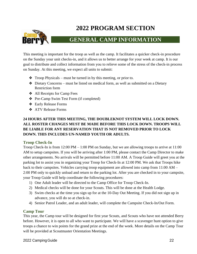

## **GENERAL CAMP INFORMATION**

This meeting is important for the troop as well as the camp. It facilitates a quicker check-in procedure on the Sunday your unit checks-in, and it allows us to better arrange for your week at camp. It is our goal to distribute and collect information from you to relieve some of the stress of the check-in process on Sunday. At this meeting, we expect all units to submit:

- ❖ Troop Physicals must be turned in by this meeting, or prior to.
- ❖ Dietary Concerns must be listed on medical form, as well as submitted on a Dietary Restriction form
- ❖ All Receipts for Camp Fees
- ❖ Pre-Camp Swim Test Form (if completed)
- ❖ Early Release Forms
- ❖ ATV Release Forms

### **24 HOURS AFTER THIS MEETING, THE DOUBLEKNOT SYSTEM WILL LOCK DOWN. ALL ROSTER CHANGES MUST BE MADE BEFORE THIS LOCK DOWN. TROOPS WILL BE LIABLE FOR ANY RESERVATION THAT IS NOT REMOVED PRIOR TO LOCK DOWN. THIS INCLUDES UN-NAMED YOUTH OR ADULTS.**

#### **Troop Check-In**

Troop Check-In is from 12:00 PM – 1:00 PM on Sunday, but we are allowing troops to arrive at 11:00 AM to setup campsites. If you will be arriving after 1:00 PM, please contact the Camp Director to make other arrangements. No arrivals will be permitted before 11:00 AM. A Troop Guide will greet you at the parking lot to assist you in organizing your Troop for Check-In at 12:00 PM. We ask that Troops hike back to their campsites. Vehicles carrying troop equipment are allowed into camp from 11:00 AM – 2:00 PM only to quickly unload and return to the parking lot. After you are checked in to your campsite, your Troop Guide will help coordinate the following procedures:

- 1) One Adult leader will be directed to the Camp Office for Troop Check-In.
- 2) Medical checks will be done for your Scouts. This will be done at the Health Lodge.
- 3) Swim checks at the time you sign up for at the 10-Day Out Meeting. If you did not sign up in advance, you will do so at check-in.
- 4) Senior Patrol Leader, and an adult leader, will complete the Campsite Check-In/Out Form.

### **Camp Tour**

This year, the Camp tour will be designed for first year Scouts, and Scouts who have not attended Berry before. However, it is open to all who want to participate. We will have a scavenger hunt option to give troops a chance to win points for the grand prize at the end of the week. More details on the Camp Tour will be provided at Scoutmaster Orientation Meetings.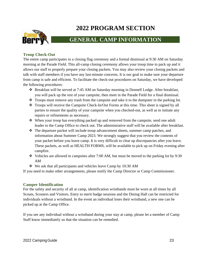

## **GENERAL CAMP INFORMATION**

### **Troop Check-Out**

The entire camp participates in a closing flag ceremony and a formal dismissal at 9:30 AM on Saturday morning at the Parade Field. This all-camp closing ceremony allows your troop time to pack up and it allows our staff to properly prepare your closing packets. You may also review your closing packets and talk with staff members if you have any last-minute concerns. It is our goal to make sure your departure from camp is safe and efficient. To facilitate the check-out procedures on Saturday, we have developed the following procedures:

- ❖ Breakfast will be served at 7:45 AM on Saturday morning in Donnell Lodge. After breakfast, you will pack up the rest of your campsite, then meet in the Parade Field for a final dismissal.
- ❖ Troops must remove any trash from the campsite and take it to the dumpster in the parking lot.
- ❖ Troops will receive the Campsite Check-In/Out Forms at this time. This sheet is signed by all parties to ensure the quality of your campsite when you checked-out, as well as to initiate any repairs or refinements as necessary.
- ❖ When your troop has everything packed up and removed from the campsite, send one adult leader to the Camp Office to check out. The administrative staff will be available after breakfast.
- ❖ The departure packet will include troop advancement sheets, summer camp patches, and information about Summer Camp 2023. We strongly suggest that you review the contents of your packet before you leave camp. It is very difficult to clear up discrepancies after you leave. These packets, as well as HEALTH FORMS, will be available to pick up on Friday evening after campfire.
- ❖ Vehicles are allowed in campsites after 7:00 AM, but must be moved to the parking lot by 9:30 AM
- ❖ We ask that all participants and vehicles leave Camp by 10:30 AM

If you need to make other arrangements, please notify the Camp Director or Camp Commissioner.

#### **Camper Identification**

For the safety and security of all at camp, identification wristbands must be worn at all times by all Scouts, Scouters and Visitors. Entry to merit badge sessions and the Dining Hall can be restricted for individuals without a wristband. In the event an individual loses their wristband, a new one can be picked up at the Camp Office.

If you see any individual without a wristband during your stay at camp, please let a member of Camp Staff know immediately so that the situation can be remedied.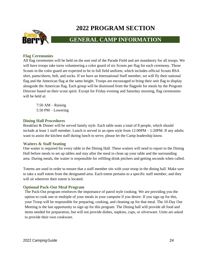

## **GENERAL CAMP INFORMATION**

### **Flag Ceremonies**

All flag ceremonies will be held on the east end of the Parade Field and are mandatory for all troops. We will have troops take turns volunteering a color guard of six Scouts per flag for each ceremony. Those Scouts in the color guard are expected to be in full field uniform, which includes official Scouts BSA shirt, pants/shorts, belt, and socks. If we have an International Staff member, we will fly their national flag and the American flag at the same height. Troops are encouraged to bring their unit flag to display alongside the American flag. Each group will be dismissed from the flagpole for meals by the Program Director based on their scout spirit. Except for Friday evening and Saturday morning, flag ceremonies will be held at:

 $7:50$  AM – Raising 5:50 PM – Lowering

#### **Dining Hall Procedures**

Breakfast & Dinner will be served family style. Each table seats a total of 8 people, which should include at least 1 staff member. Lunch is served in an open style from 12:00PM – 1:20PM. If any adults want to assist the kitchen staff during lunch to serve, please let the Camp leadership know.

#### **Waiters & Staff Seating**

One waiter is required for every table in the Dining Hall. These waiters will need to report to the Dining Hall before meals to set up tables and stay after the meal to clean up your table and the surrounding area. During meals, the waiter is responsible for refilling drink pitchers and getting seconds when called.

Totems are used in order to ensure that a staff member sits with your troop in the dining hall. Make sure to take a staff totem from the designated area. Each totem pertains to a specific staff member, and they will sit wherever their totem is located.

#### **Optional Pack-Out Meal Program**

The Pack-Out program reinforces the importance of patrol style cooking. We are providing you the option to cook one or multiple of your meals in your campsite if you desire. If you sign up for this, your Troop will be responsible for preparing, cooking, and cleaning up for that meal. The 10-Day Out Meeting is the last opportunity to sign up for this program. The Dining hall will provide all food and items needed for preparation, but will not provide dishes, napkins, cups, or silverware. Units are asked to provide their own cookware.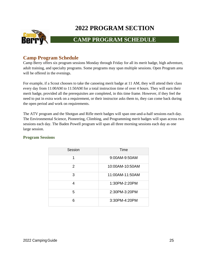

## **CAMP PROGRAM SCHEDULE**

### <span id="page-24-0"></span>**Camp Program Schedule**

Camp Berry offers six program sessions Monday through Friday for all its merit badge, high adventure, adult training, and specialty programs. Some programs may span multiple sessions. Open Program area will be offered in the evenings.

For example, if a Scout chooses to take the canoeing merit badge at 11 AM, they will attend their class every day from 11:00AM to 11:50AM for a total instruction time of over 4 hours. They will earn their merit badge, provided all the prerequisites are completed, in this time frame. However, if they feel the need to put in extra work on a requirement, or their instructor asks them to, they can come back during the open period and work on requirements.

The ATV program and the Shotgun and Rifle merit badges will span one-and-a-half sessions each day. The Environmental Science, Pioneering, Climbing, and Programming merit badges will span across two sessions each day. The Baden Powell program will span all three morning sessions each day as one large session.

### **Program Sessions**

| Session | Time            |
|---------|-----------------|
| 1       | 9:00AM-9:50AM   |
| 2       | 10:00AM-10:50AM |
| 3       | 11:00AM-11:50AM |
| 4       | 1:30PM-2:20PM   |
| 5       | 2:30PM-3:20PM   |
| 6       | 3:30PM-4:20PM   |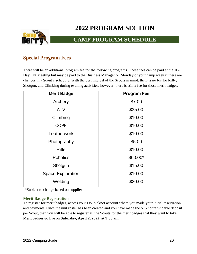

## **CAMP PROGRAM SCHEDULE**

### <span id="page-25-0"></span>**Special Program Fees**

There will be an additional program fee for the following programs. These fees can be paid at the 10- Day Out Meeting but may be paid to the Business Manager on Monday of your camp week if there are changes in a Scout's schedule. With the best interest of the Scouts in mind, there is no fee for Rifle, Shotgun, and Climbing during evening activities; however, there is still a fee for those merit badges.

| <b>Merit Badge</b>       | <b>Program Fee</b> |
|--------------------------|--------------------|
| Archery                  | \$7.00             |
| <b>ATV</b>               | \$35.00            |
| Climbing                 | \$10.00            |
| <b>COPE</b>              | \$10.00            |
| Leatherwork              | \$10.00            |
| Photography              | \$5.00             |
| <b>Rifle</b>             | \$10.00            |
| <b>Robotics</b>          | \$60.00*           |
| Shotgun                  | \$15.00            |
| <b>Space Exploration</b> | \$10.00            |
| Welding                  | \$20.00            |

\*Subject to change based on supplier

### **Merit Badge Registration**

To register for merit badges, access your Doubleknot account where you made your initial reservation and payments. Once the unit roster has been created and you have made the \$75 nonrefundable deposit per Scout, then you will be able to register all the Scouts for the merit badges that they want to take. Merit badges go live on **Saturday, April 2, 2022, at 9:00 am**.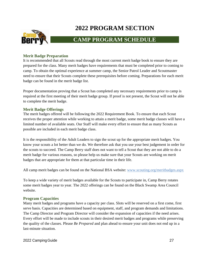

## **CAMP PROGRAM SCHEDULE**

### **Merit Badge Preparation**

It is recommended that all Scouts read through the most current merit badge book to ensure they are prepared for the class. Many merit badges have requirements that must be completed prior to coming to camp. To obtain the optimal experience at summer camp, the Senior Patrol Leader and Scoutmaster need to ensure that their Scouts complete these prerequisites before coming. Preparations for each merit badge can be found in the merit badge list.

Proper documentation proving that a Scout has completed any necessary requirements prior to camp is required at the first meeting of their merit badge group. If proof is not present, the Scout will not be able to complete the merit badge.

### **Merit Badge Offerings**

The merit badges offered will be following the 2022 Requirement Book. To ensure that each Scout receives the proper attention while working to attain a merit badge, some merit badge classes will have a limited number of available seats. Our Staff will make every effort to ensure that as many Scouts as possible are included in each merit badge class.

It is the responsibility of the Adult Leaders to sign the scout up for the appropriate merit badges. You know your scouts a lot better than we do. We therefore ask that you use your best judgement in order for the scouts to succeed. The Camp Berry staff does not want to tell a Scout that they are not able to do a merit badge for various reasons, so please help us make sure that your Scouts are working on merit badges that are appropriate for them at that particular time in their life.

All camp merit badges can be found on the National BSA website: [www.scouting.org/meritbadges.aspx](http://www.scouting.org/meritbadges.aspx)

To keep a wide variety of merit badges available for the Scouts to participate in, Camp Berry rotates some merit badges year to year. The 2022 offerings can be found on the Black Swamp Area Council website.

### **Program Capacities**

Many merit badges and programs have a capacity per class. Slots will be reserved on a first come, first serve basis. Capacities are determined based on equipment, staff, and program demands and limitations. The Camp Director and Program Director will consider the expansion of capacities if the need arises. Every effort will be made to include scouts in their desired merit badges and programs while preserving the quality of the classes. Please *Be Prepared* and plan ahead to ensure your unit does not end up in a last-minute situation.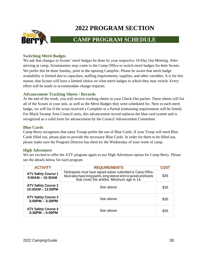

## **CAMP PROGRAM SCHEDULE**

### **Switching Merit Badges**

We ask that changes to Scouts' merit badges be done by your respective 10-Day Out Meeting. After arriving at camp, Scoutmasters may come to the Camp Office to switch merit badges for their Scouts. We prefer this be done Sunday, prior to the opening Campfire. Please be aware that merit badge availability is limited due to capacities, staffing requirements, supplies, and other variables. It is for this reason, that Scouts will have a limited choice on what merit badges to which they may switch. Every effort will be made to accommodate change requests.

### **Advancement Tracking Sheets / Records**

At the end of the week, you will receive tracking sheets in your Check-Out packet. These sheets will list all of the Scouts in your unit, as well as the Merit Badges they were scheduled for. Next to each merit badge, we will list if the scout received a Complete or a Partial (remaining requirements will be listed). For Black Swamp Area Council units, this advancement record replaces the blue card system and is recognized as a valid form for advancement by the Council Advancement Committee.

### **Blue Cards**

Camp Berry recognizes that some Troops prefer the use of Blue Cards. If your Troop will need Blue Cards filled out, please plan to provide the necessary Blue Cards. In order for them to be filled out, please make sure the Program Director has them by the Wednesday of your week of camp.

### **High Adventure**

We are excited to offer the ATV program again as our High Adventure option for Camp Berry. Please see the details below for each program

| <b>ACTIVITY</b>                                  | <b>REQUIREMENTS</b>                                                                                                                                                             | <b>COST</b> |
|--------------------------------------------------|---------------------------------------------------------------------------------------------------------------------------------------------------------------------------------|-------------|
| <b>ATV Safety Course 1</b><br>$9:00AM - 10:30AM$ | Participants must have signed waiver submitted to Camp Office.<br>Must also have long pants, long sleeve shirt or jacket and boots<br>that cover the ankles. Minimum age is 14. | \$35        |
| <b>ATV Safety Course 2</b><br>10:30AM - 12:00PM  | See above.                                                                                                                                                                      | \$35        |
| <b>ATV Safety Course 3</b><br>$2:00PM - 3:30PM$  | See above.                                                                                                                                                                      | \$35        |
| <b>ATV Safety Course 4</b><br>$3:30PM - 5:00PM$  | See above.                                                                                                                                                                      | \$35        |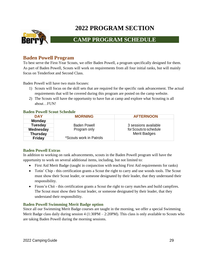

## **CAMP PROGRAM SCHEDULE**

### <span id="page-28-0"></span>**Baden Powell Program**

To best serve the First-Year Scouts, we offer Baden Powell, a program specifically designed for them. As part of Baden Powell, Scouts will work on requirements from all four initial ranks, but will mainly focus on Tenderfoot and Second Class.

Baden Powell will have two main focuses:

- 1) Scouts will focus on the skill sets that are required for the specific rank advancement. The actual requirements that will be covered during this program are posted on the camp website.
- 2) The Scouts will have the opportunity to have fun at camp and explore what Scouting is all about…FUN!

#### **Baden Powell Scout Schedule**

| <b>DAY</b>      | <b>MORNING</b>          | <b>AFTERNOON</b>       |
|-----------------|-------------------------|------------------------|
| <b>Monday</b>   |                         |                        |
| <b>Tuesday</b>  | <b>Baden Powell</b>     | 3 sessions available   |
| Wednesday       | Program only            | for Scouts to schedule |
| <b>Thursday</b> |                         | <b>Merit Badges</b>    |
| <b>Friday</b>   | *Scouts work in Patrols |                        |

### **Baden Powell Extras**

In addition to working on rank advancements, scouts in the Baden Powell program will have the opportunity to work on several additional items, including, but not limited to:

- First Aid Merit Badge (taught in conjunction with teaching First Aid requirements for ranks)
- Totin' Chip this certification grants a Scout the right to carry and use woods tools. The Scout must show their Scout leader, or someone designated by their leader, that they understand their responsibility.
- Firem'n Chit this certification grants a Scout the right to carry matches and build campfires. The Scout must show their Scout leader, or someone designated by their leader, that they understand their responsibility.

### **Baden Powell Swimming Merit Badge option**

Since all our Swimming Merit Badge courses are taught in the morning, we offer a special Swimming Merit Badge class daily during session 4 (1:30PM – 2:20PM). This class is only available to Scouts who are taking Baden Powell during the morning sessions.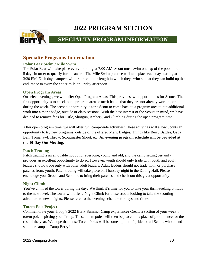

## **SPECIALTY PROGRAM INFORMATION**

### <span id="page-29-0"></span>**Specialty Programs Information**

### **Polar Bear Swim / Mile Swim**

The Polar Bear will take place every morning at 7:00 AM. Scout must swim one lap of the pool 4 out of 5 days in order to qualify for the award. The Mile Swim practice will take place each day starting at 3:30 PM. Each day, campers will progress in the length in which they swim so that they can build up the endurance to swim the entire mile on Friday afternoon.

### **Open Program Areas**

On select evenings, we will offer Open Program Areas. This provides two opportunities for Scouts. The first opportunity is to check out a program area or merit badge that they are not already working on during the week. The second opportunity is for a Scout to come back to a program area to put additional work into a merit badge, outside of class sessions. With the best interest of the Scouts in mind, we have decided to remove fees for Rifle, Shotgun, Archery, and Climbing during the open program time.

After open program time, we will offer fun, camp-wide activities! These activities will allow Scouts an opportunity to try new programs, outside of the offered Merit Badges. Things like Berry Battles, Gaga Ball, Tomahawk Throw, Scoutmaster Shoot, etc. **An evening program schedule will be provided at the 10-Day Out Meeting.**

### **Patch Trading**

Patch trading is an enjoyable hobby for everyone, young and old, and the camp setting certainly provides an excellent opportunity to do so. However, youth should only trade with youth and adult leaders should trade only with other adult leaders. Adult leaders should not trade with, or purchase patches from, youth. Patch trading will take place on Thursday night in the Dining Hall. Please encourage your Scouts and Scouters to bring their patches and check out this great opportunity!

### **Night Climb**

You've climbed the tower during the day? We think it's time for you to take your thrill-seeking attitude to the next level. The tower will offer a Night Climb for those scouts looking to take the scouting adventure to new heights. Please refer to the evening schedule for days and times.

### **Totem Pole Project**

Commemorate your Troop's 2022 Berry Summer Camp experience? Create a section of your week's totem pole depicting your Troop. These totem poles will then be placed in a place of prominence for the rest of the year. We hope that these Totem Poles will become a point of pride for all Scouts who attend summer camp at Camp Berry!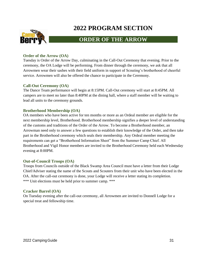

## **ORDER OF THE ARROW**

### **Order of the Arrow (OA)**

Tuesday is Order of the Arrow Day, culminating in the Call-Out Ceremony that evening. Prior to the ceremony, the OA Lodge will be performing. From dinner through the ceremony, we ask that all Arrowmen wear their sashes with their field uniform in support of Scouting's brotherhood of cheerful service. Arrowmen will also be offered the chance to participate in the Ceremony.

### **Call-Out Ceremony (OA)**

The Dance Team performance will begin at 8:15PM. Call-Out ceremony will start at 8:45PM. All campers are to meet no later than 8:40PM at the dining hall, where a staff member will be waiting to lead all units to the ceremony grounds.

### **Brotherhood Membership (OA)**

OA members who have been active for ten months or more as an Ordeal member are eligible for the next membership level, Brotherhood. Brotherhood membership signifies a deeper level of understanding of the customs and traditions of the Order of the Arrow. To become a Brotherhood member, an Arrowman need only to answer a few questions to establish their knowledge of the Order, and then take part in the Brotherhood ceremony which seals their membership. Any Ordeal member meeting the requirements can get a "Brotherhood Information Sheet" from the Summer Camp Chief. All Brotherhood and Vigil Honor members are invited to the Brotherhood Ceremony held each Wednesday evening at 8:00PM.

#### **Out-of-Council Troops (OA)**

Troops from Councils outside of the Black Swamp Area Council must have a letter from their Lodge Chief/Adviser stating the name of the Scouts and Scouters from their unit who have been elected in the OA. After the call-out ceremony is done, your Lodge will receive a letter stating its completion. \*\*\* Unit elections must be held prior to summer camp. \*\*\*

#### **Cracker Barrel (OA)**

On Tuesday evening after the call-out ceremony, all Arrowmen are invited to Donnell Lodge for a special treat and fellowship time.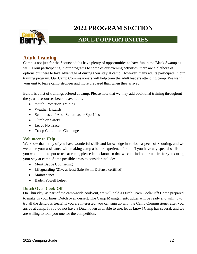

## **ADULT OPPORTUNITIES**

### <span id="page-31-0"></span>**Adult Training**

Camp is not just for the Scouts; adults have plenty of opportunities to have fun in the Black Swamp as well. From participating in our programs to some of our evening activities, there are a plethora of options out there to take advantage of during their stay at camp. However, many adults participate in our training program. Our Camp Commissioners will help train the adult leaders attending camp. We want your unit to leave camp stronger and more prepared than when they arrived.

Below is a list of trainings offered at camp. Please note that we may add additional training throughout the year if resources become available.

- Youth Protection Training
- Weather Hazards
- Scoutmaster / Asst. Scoutmaster Specifics
- Climb on Safety
- Leave No Trace
- Troop Committee Challenge

### **Volunteer to Help**

We know that many of you have wonderful skills and knowledge in various aspects of Scouting, and we welcome your assistance with making camp a better experience for all. If you have any special skills you would like to put to use at camp, please let us know so that we can find opportunities for you during your stay at camp. Some possible areas to consider include:

- Merit Badge Counseling
- Lifeguarding  $(21+)$ , at least Safe Swim Defense certified)
- Maintenance
- Baden Powell helper

### **Dutch Oven Cook-Off**

On Thursday, as part of the camp-wide cook-out, we will hold a Dutch Oven Cook-Off! Come prepared to make us your finest Dutch oven dessert. The Camp Management/Judges will be ready and willing to try all the delicious treats! If you are interested, you can sign up with the Camp Commissioner after you arrive at camp. If you do not have a Dutch oven available to use, let us know! Camp has several, and we are willing to loan you one for the competition.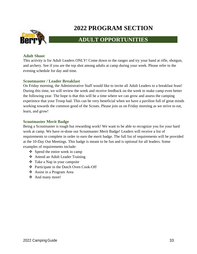

### **ADULT OPPORTUNITIES**

### **Adult Shoot**

This activity is for Adult Leaders ONLY! Come down to the ranges and try your hand at rifle, shotgun, and archery. See if you are the top shot among adults at camp during your week. Please refer to the evening schedule for day and time.

#### **Scoutmaster / Leader Breakfast**

On Friday morning, the Administrative Staff would like to invite all Adult Leaders to a breakfast feast! During this time, we will review the week and receive feedback on the week to make camp even better the following year. The hope is that this will be a time where we can grow and assess the camping experience that your Troop had. This can be very beneficial when we have a pavilion full of great minds working towards the common good of the Scouts. Please join us on Friday morning as we strive to eat, learn, and grow!

#### **Scoutmaster Merit Badge**

Being a Scoutmaster is tough but rewarding work! We want to be able to recognize you for your hard work at camp. We have re-done our Scoutmaster Merit Badge! Leaders will receive a list of requirements to complete in order to earn the merit badge. The full list of requirements will be provided at the 10-Day Out Meetings. This badge is meant to be fun and is optional for all leaders. Some examples of requirements include:

- ❖ Spend the entire week in camp
- ❖ Attend an Adult Leader Training
- ❖ Take a Nap in your campsite
- ❖ Participate in the Dutch Oven Cook-Off
- ❖ Assist in a Program Area
- ❖ And many more!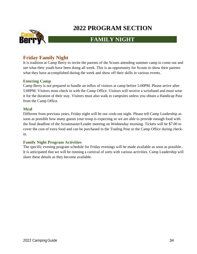

### **FAMILY NIGHT**

### <span id="page-33-0"></span>**Friday Family Night**

It is tradition at Camp Berry to invite the parents of the Scouts attending summer camp to come out and see what their youth have been doing all week. This is an opportunity for Scouts to show their parents what they have accomplished during the week and show off their skills in various events.

#### **Entering Camp**

Camp Berry is not prepared to handle an influx of visitors at camp before 5:00PM. Please arrive after 5:00PM. Visitors must check in with the Camp Office. Visitors will receive a wristband and must wear it for the duration of their stay. Visitors must also walk to campsites unless you obtain a Handicap Pass from the Camp Office.

#### **Meal**

Different from previous years, Friday night will be our cook-out night. Please tell Camp Leadership as soon as possible how many guests your troop is expecting so we are able to provide enough food with the final deadline of the Scoutmaster/Leader meeting on Wednesday morning. Tickets will be \$7.00 to cover the cost of extra food and can be purchased in the Trading Post or the Camp Office during checkin.

#### **Family Night Program Activities**

The specific evening program schedule for Friday evenings will be made available as soon as possible.. It is anticipated that we will be running a carnival of sorts with various activities. Camp Leadership will share these details as they become available.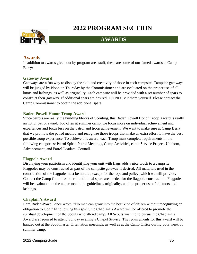

## **AWARDS**

### <span id="page-34-0"></span>**Awards**

In addition to awards given out by program area staff, these are some of our famed awards at Camp Berry:

### **Gateway Award**

Gateways are a fun way to display the skill and creativity of those in each campsite. Campsite gateways will be judged by Noon on Thursday by the Commissioner and are evaluated on the proper use of all knots and lashings, as well as originality. Each campsite will be provided with a set number of spars to construct their gateway. If additional spars are desired, DO NOT cut them yourself. Please contact the Camp Commissioner to obtain the additional spars.

### **Baden Powell Honor Troop Award**

Since patrols are really the building blocks of Scouting, this Baden Powell Honor Troop Award is really an honor patrol award. Too often at summer camp, we focus more on individual achievement and experiences and focus less on the patrol and troop achievement. We want to make sure at Camp Berry that we promote the patrol method and recognize those troops that make an extra effort to have the best possible troop experience. To achieve this award, each Troop must complete requirements in the following categories: Patrol Spirit, Patrol Meetings, Camp Activities, camp Service Project, Uniform, Advancement, and Patrol Leaders' Council.

### **Flagpole Award**

Displaying your patriotism and identifying your unit with flags adds a nice touch to a campsite. Flagpoles may be constructed as part of the campsite gateway if desired. All materials used in the construction of the flagpole must be natural, except for the rope and pulley, which we will provide. Contact the Camp Commissioner if additional spars are needed for the flagpole construction. Flagpoles will be evaluated on the adherence to the guidelines, originality, and the proper use of all knots and lashings.

### **Chaplain's Award**

Lord Baden-Powell once wrote, "No man can grow into the best kind of citizen without recognizing an obligation to God." In following this spirit, the Chaplain's Award will be offered to promote the spiritual development of the Scouts who attend camp. All Scouts wishing to pursue the Chaplain's Award are required to attend Sunday evening's Chapel Service. The requirements for this award will be handed out at the Scoutmaster Orientation meetings, as well as at the Camp Office during your week of summer camp.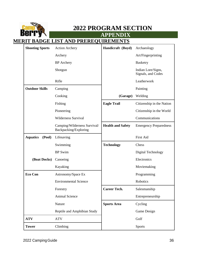

**APPENDIX**

## **MERIT BADGE LIST AND PREREQUIREMENTS**

| <b>Shooting Sports</b><br><b>Action Archery</b> |                                                       | Handicraft (Boyd)        | Archaeology                              |
|-------------------------------------------------|-------------------------------------------------------|--------------------------|------------------------------------------|
|                                                 | Archery                                               |                          | Art/Fingerprinting                       |
|                                                 | <b>BP</b> Archery                                     |                          | <b>Basketry</b>                          |
|                                                 | Shotgun                                               |                          | Indian Lore/Signs,<br>Signals, and Codes |
|                                                 | Rifle                                                 |                          | Leatherwork                              |
| <b>Outdoor Skills</b>                           | Camping                                               |                          | Painting                                 |
|                                                 | Cooking                                               | (Garage)                 | Welding                                  |
|                                                 | Fishing                                               | <b>Eagle Trail</b>       | Citizenship in the Nation                |
|                                                 | Pioneering                                            |                          | Citizenship in the World                 |
|                                                 | <b>Wilderness Survival</b>                            |                          | Communications                           |
|                                                 | Camping/Wilderness Survival/<br>Backpacking/Exploring | <b>Health and Safety</b> | <b>Emergency Preparedness</b>            |
| <b>Aquatics</b><br>(Pool)                       | Lifesaving                                            |                          | First Aid                                |
|                                                 | Swimming                                              | <b>Technology</b>        | Chess                                    |
|                                                 | <b>BP</b> Swim                                        |                          | Digital Technology                       |
| (Boat Docks)<br>Canoeing                        |                                                       |                          | Electronics                              |
|                                                 | Kayaking                                              |                          | Moviemaking                              |
| <b>Eco Con</b>                                  | Astronomy/Space Ex                                    |                          | Programming                              |
|                                                 | <b>Environmental Science</b>                          |                          | Robotics                                 |
|                                                 | Forestry                                              | <b>Career Tech.</b>      | Salesmanship                             |
|                                                 | Animal Science                                        |                          | Entrepreneurship                         |
|                                                 | Nature                                                | <b>Sports Area</b>       | Cycling                                  |
|                                                 | Reptile and Amphibian Study                           |                          | Game Design                              |
| <b>ATV</b>                                      | <b>ATV</b>                                            |                          | Golf                                     |
| <b>Tower</b>                                    | Climbing                                              |                          | <b>Sports</b>                            |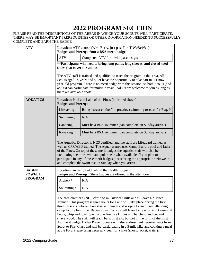#### PLEASE READ THE DESCRIPTIONS OF THE AREAS IN WHICH YOUR SCOUTS WILL PARTICIPATE. THERE MAY BE IMPORTANT PREREQUISITES OR OTHER INFORMATION NEEDED TO SUCCESSFULLY COMPLETE AND EARN THE BADGE.

| <b>ATV</b>                                                                                                                                          |                                                                                      | <b>Location:</b> ATV course (West Berry, just past Fort TiWoBeWeb)<br><b>Badges and Prereqs: *not a BSA merit badge</b>                                                                                                                                                                                                                                                                                                                                                                                                                                                                                                                                                                                                                                                  |  |
|-----------------------------------------------------------------------------------------------------------------------------------------------------|--------------------------------------------------------------------------------------|--------------------------------------------------------------------------------------------------------------------------------------------------------------------------------------------------------------------------------------------------------------------------------------------------------------------------------------------------------------------------------------------------------------------------------------------------------------------------------------------------------------------------------------------------------------------------------------------------------------------------------------------------------------------------------------------------------------------------------------------------------------------------|--|
|                                                                                                                                                     | <b>ATV</b>                                                                           | Completed ATV form with parent signature                                                                                                                                                                                                                                                                                                                                                                                                                                                                                                                                                                                                                                                                                                                                 |  |
|                                                                                                                                                     | shoes that cover the ankles                                                          | **Participants will need to bring long pants, long sleeves, and closed-toed                                                                                                                                                                                                                                                                                                                                                                                                                                                                                                                                                                                                                                                                                              |  |
|                                                                                                                                                     | there are available spots.                                                           | The ATV staff is trained and qualified to teach the program in this area. All<br>Scouts aged 14 years and older have the opportunity to take part in our now-5-<br>year-old program. There is no merit badge with this session, so both Scouts (and<br>adults) can participate for multiple years! Adults are welcome to join as long as                                                                                                                                                                                                                                                                                                                                                                                                                                 |  |
| <b>AQUATICS</b>                                                                                                                                     | Location: Pool and Lake of the Pines (indicated above)<br><b>Badges and Prereqs:</b> |                                                                                                                                                                                                                                                                                                                                                                                                                                                                                                                                                                                                                                                                                                                                                                          |  |
|                                                                                                                                                     | Lifesaving                                                                           | Bring "street clothes" to practice swimming rescues for Req. 9                                                                                                                                                                                                                                                                                                                                                                                                                                                                                                                                                                                                                                                                                                           |  |
|                                                                                                                                                     | Swimming                                                                             | N/A                                                                                                                                                                                                                                                                                                                                                                                                                                                                                                                                                                                                                                                                                                                                                                      |  |
|                                                                                                                                                     | Canoeing                                                                             | Must be a BSA swimmer (can complete on Sunday arrival)                                                                                                                                                                                                                                                                                                                                                                                                                                                                                                                                                                                                                                                                                                                   |  |
|                                                                                                                                                     | Kayaking                                                                             | Must be a BSA swimmer (can complete on Sunday arrival)                                                                                                                                                                                                                                                                                                                                                                                                                                                                                                                                                                                                                                                                                                                   |  |
|                                                                                                                                                     |                                                                                      | The Aquatics Director is NCS certified, and the staff are Lifeguard trained as<br>well as CPR/AED trained. The Aquatics area uses Camp Berry's pool and Lake<br>of the Pines. On top of these merit badges the aquatics staff will also be<br>facilitating the mile swim and polar bear when available. If you plan to<br>participate in any of these merit badges please bring the appropriate swimwear<br>and complete the swim test on Sunday when you arrive.                                                                                                                                                                                                                                                                                                        |  |
| <b>BADEN</b><br>Location: Activity field behind the Health Lodge<br>Badges and Prereqs: *these badges are offered in the afternoon<br><b>POWELL</b> |                                                                                      |                                                                                                                                                                                                                                                                                                                                                                                                                                                                                                                                                                                                                                                                                                                                                                          |  |
| <b>PROGRAM</b>                                                                                                                                      | Archery*                                                                             | N/A                                                                                                                                                                                                                                                                                                                                                                                                                                                                                                                                                                                                                                                                                                                                                                      |  |
|                                                                                                                                                     | Swimming*                                                                            | N/A                                                                                                                                                                                                                                                                                                                                                                                                                                                                                                                                                                                                                                                                                                                                                                      |  |
|                                                                                                                                                     |                                                                                      | The area director is NCS certified in Outdoor Skills and is Leave No Trace<br>Trained. This program is three hours long and will take place during the first<br>three sessions between breakfast and lunch and is open to any Scout attending<br>camp for the first time. Baden Powell Scouts will learn to tie up to eight essential<br>knots, whip and fuse rope, handle fire, use knives and hatchets, and cut and<br>shave wood. The staff will teach basic first aid, but <i>not</i> in the form of the First<br>Aid merit badge. Baden Powell Scouts will also address rank requirements from<br>Scout to First Class and will be participating in a 5-mile hike and cooking a meal<br>at the Fort. Please bring necessary gear for a hike (shoes, jacket, water). |  |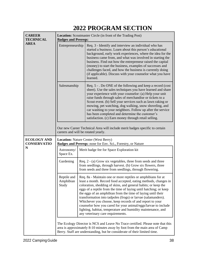| <b>CAREER</b><br><b>TECHNICAL</b>                                                                                  | Location: Scoutmaster Circle (in front of the Trading Post)<br><b>Badges and Prereqs:</b> |                                                                                                                                                                                                                                                                                                                                                                                                                                                                                                                                                                                                                                            |  |
|--------------------------------------------------------------------------------------------------------------------|-------------------------------------------------------------------------------------------|--------------------------------------------------------------------------------------------------------------------------------------------------------------------------------------------------------------------------------------------------------------------------------------------------------------------------------------------------------------------------------------------------------------------------------------------------------------------------------------------------------------------------------------------------------------------------------------------------------------------------------------------|--|
| <b>AREA</b>                                                                                                        | Entrepreneurship                                                                          | Req. 3 - Identify and interview an individual who has<br>started a business. Learn about this person's educational<br>background, early work experiences, where the idea for the<br>business came from, and what was involved in starting the<br>business. Find out how the entrepreneur raised the capital<br>(money) to start the business, examples of successes and<br>challenges faced, and how the business is currently doing<br>(if applicable). Discuss with your counselor what you have<br>learned.                                                                                                                             |  |
|                                                                                                                    | Salesmanship                                                                              | Req. 5 - . Do ONE of the following and keep a record (cost<br>sheet). Use the sales techniques you have learned and share<br>your experience with your counselor: (a) Help your unit<br>raise funds through sales of merchandise or tickets to a<br>Scout event. (b) Sell your services such as lawn raking or<br>mowing, pet watching, dog walking, snow shoveling, and<br>car washing to your neighbors. Follow up after the service<br>has been completed and determine the customer's<br>satisfaction. (c) Earn money through retail selling.                                                                                          |  |
| Our new Career Technical Area will include merit badges specific to certain<br>careers and will be rotated yearly. |                                                                                           |                                                                                                                                                                                                                                                                                                                                                                                                                                                                                                                                                                                                                                            |  |
| <b>ECOLOGY AND</b><br><b>CONSERVATIO</b>                                                                           |                                                                                           | <b>Location: Nature Center (West Berry)</b><br>Badges and Prereqs: none for Env. Sci., Forestry, or Nature                                                                                                                                                                                                                                                                                                                                                                                                                                                                                                                                 |  |
| N                                                                                                                  | Astronomy/<br>Space Ex.                                                                   | Merit badge fee for Space Exploration kit                                                                                                                                                                                                                                                                                                                                                                                                                                                                                                                                                                                                  |  |
|                                                                                                                    | Gardening                                                                                 | Req. $2 - (a)$ Grow six vegetables, three from seeds and three<br>from seedlings, through harvest. (b) Grow six flowers, three<br>from seeds and three from seedlings, through flowering.                                                                                                                                                                                                                                                                                                                                                                                                                                                  |  |
|                                                                                                                    | Reptile and<br>Amphibian<br>Study                                                         | Req. 8a - Maintain one or more reptiles or amphibians for at<br>least a month. Record food accepted, eating methods, changes in<br>coloration, shedding of skins, and general habits; or keep the<br>eggs of a reptile from the time of laying until hatching; or keep<br>the eggs of an amphibian from the time of laying until their<br>transformation into tadpoles (frogs) or larvae (salamanders).<br>Whichever you choose, keep records of and report to your<br>counselor how you cared for your animal/eggs/larvae to include<br>lighting, habitat, temperature and humidity maintenance, and<br>any veterinary care requirements. |  |
|                                                                                                                    |                                                                                           | The Ecology Director is NCS and Leave No Trace certified. Please note that this<br>area is approximately 8-10 minutes away by foot from the main area of Camp<br>Berry. Staff are understanding, but be considerate of their limited time.                                                                                                                                                                                                                                                                                                                                                                                                 |  |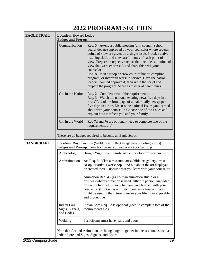| <b>EAGLE TRAIL</b> | <b>Location: Howard Lodge</b><br><b>Badges and Prereqs:</b> |                                                                                                                                                                                                                                                                                                                                                                                                                                                                                                                                                                                                                         |
|--------------------|-------------------------------------------------------------|-------------------------------------------------------------------------------------------------------------------------------------------------------------------------------------------------------------------------------------------------------------------------------------------------------------------------------------------------------------------------------------------------------------------------------------------------------------------------------------------------------------------------------------------------------------------------------------------------------------------------|
|                    | Communication                                               | Req. 5 - Attend a public meeting (city council, school<br>board, debate) approved by your counselor where several<br>points of view are given on a single issue. Practice active<br>listening skills and take careful notes of each point of<br>view. Prepare an objective report that includes all points of<br>view that were expressed, and share this with your<br>counselor.<br>Req. 8 - Plan a troop or crew court of honor, campfire<br>program, or interfaith worship service. Have the patrol<br>leaders' council approve it, then write the script and<br>prepare the program. Serve as master of ceremonies. |
|                    | Cit. in the Nation                                          | Req. 2 - Complete two of the requirements a-d<br>Req. 3 - Watch the national evening news five days in a<br>row OR read the front page of a major daily newspaper<br>five days in a row. Discuss the national issues you learned<br>about with your counselor. Choose one of the issues and<br>explain how it affects you and your family.                                                                                                                                                                                                                                                                              |
|                    | Cit. in the World                                           | Req 7d and 7e are optional (need to complete two of the<br>requirements a-e)                                                                                                                                                                                                                                                                                                                                                                                                                                                                                                                                            |
|                    |                                                             | These are all badges required to become an Eagle Scout.                                                                                                                                                                                                                                                                                                                                                                                                                                                                                                                                                                 |
| <b>HANDICRAFT</b>  |                                                             | <b>Location:</b> Boyd Pavilion (Welding is in the Garage near shooting sports)<br>Badges and Prereqs: none for Basketry, Leatherwork, or Painting                                                                                                                                                                                                                                                                                                                                                                                                                                                                       |
|                    | Archaeology                                                 | Bring a "significant family artifact/heirloom" to discuss (7b)                                                                                                                                                                                                                                                                                                                                                                                                                                                                                                                                                          |
|                    | Art/Animation                                               | Art Req. 6 - Visit a museum, art exhibit, art gallery, artists'<br>co-op, or artist's workshop. Find out about the art displayed<br>or created there. Discuss what you learn with your counselor.                                                                                                                                                                                                                                                                                                                                                                                                                       |
|                    |                                                             | Animation Req. 4 - (a) Tour an animation studio or a<br>business where animation is used, either in person, via video,<br>or via the Internet. Share what you have learned with your<br>counselor. (b) Discuss with your counselor how animation<br>might be used in the future to make your life more enjoyable<br>and productive.                                                                                                                                                                                                                                                                                     |
|                    | Indian Lore/<br>Signs, Signals,<br>and Codes                | Indian Lore Req. 3d is optional (need to complete two of the<br>requirements a-d)                                                                                                                                                                                                                                                                                                                                                                                                                                                                                                                                       |
|                    | Welding                                                     | Participants must have jeans and boots                                                                                                                                                                                                                                                                                                                                                                                                                                                                                                                                                                                  |
|                    |                                                             | Note that Art and Animation are being taught together in one session, as well as<br>Indian Lore and Signs, Signals, and Codes.                                                                                                                                                                                                                                                                                                                                                                                                                                                                                          |
| 2022 Camping Guide |                                                             | 39                                                                                                                                                                                                                                                                                                                                                                                                                                                                                                                                                                                                                      |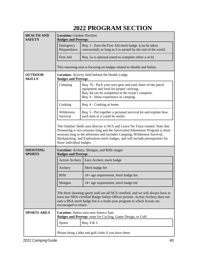| <b>HEALTH AND</b><br><b>SAFETY</b> | <b>Location: Gardner Pavilion</b><br><b>Badges and Prereqs:</b>                |                                                                                                                                                                                                                                                                                                                                |
|------------------------------------|--------------------------------------------------------------------------------|--------------------------------------------------------------------------------------------------------------------------------------------------------------------------------------------------------------------------------------------------------------------------------------------------------------------------------|
|                                    | Emergency<br>Preparedness                                                      | Req. 1 - Earn the First Aid merit badge. [can be taken]<br>concurrently as long as it is earned by the end of the week]                                                                                                                                                                                                        |
|                                    | <b>First Aid</b>                                                               | Req. 5a is optional (need to complete either a or b)                                                                                                                                                                                                                                                                           |
|                                    |                                                                                | This returning area is focusing on badges related to Health and Safety.                                                                                                                                                                                                                                                        |
| <b>OUTDOOR</b><br><b>SKILLS</b>    | Location: Activity field behind the Health Lodge<br><b>Badges and Prereqs:</b> |                                                                                                                                                                                                                                                                                                                                |
|                                    | Camping                                                                        | Req. 7b - Pack your own gear and your share of the patrol<br>equipment and food for proper carrying.<br>Req. 8d can be completed in the troop's campsite.<br>Req. 9 - Show experience in camping                                                                                                                               |
|                                    | Cooking                                                                        | Req. 4 - Cooking at home.                                                                                                                                                                                                                                                                                                      |
|                                    | Wilderness<br>Survival                                                         | Req. 5 - Put together a personal survival kit and explain how<br>each item in it could be useful.                                                                                                                                                                                                                              |
|                                    | those individual badges.                                                       | The Outdoor Skills area director is NCS and Leave No Trace trained. Note that<br>Pioneering is two sessions long and the Survivalist/Adventurer Program is three<br>sessions long in the afternoon and includes Camping, Wilderness Survival,<br>Backpacking, and Exploration merit badges, and will include prerequisites for |
| <b>SHOOTING</b><br><b>SPORTS</b>   | Location: Archery, Shotgun, and Rifle ranges<br><b>Badges and Prereqs:</b>     |                                                                                                                                                                                                                                                                                                                                |
|                                    | <b>Action Archery</b>                                                          | Earn Archery merit badge                                                                                                                                                                                                                                                                                                       |
|                                    | Archery                                                                        | Merit badge fee                                                                                                                                                                                                                                                                                                                |
|                                    | Rifle                                                                          | 14+ age requirement, merit badge fee                                                                                                                                                                                                                                                                                           |
|                                    | Shotgun                                                                        | 14+ age requirement, merit badge fee                                                                                                                                                                                                                                                                                           |
|                                    | encouraged to return.                                                          | The three shooting sports staff are all NCS certified, and we will always have at<br>least one NRA-certified Range Safety Officer present. Action Archery does not<br>earn a BSA merit badge but is a multi-year program to which Scouts are                                                                                   |
| <b>SPORTS AREA</b>                 |                                                                                | Location: fitness area near Seneca Sam<br>Badges and Prereqs: none for Cycling, Game Design, or Golf                                                                                                                                                                                                                           |
|                                    | <b>Sports</b>                                                                  | Req. $4 & 5$                                                                                                                                                                                                                                                                                                                   |
|                                    |                                                                                | Please bring a bike and golf clubs if you have them.                                                                                                                                                                                                                                                                           |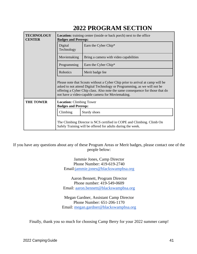| <b>TECHNOLOGY</b><br><b>CENTER</b> | Location: training center (inside or back porch) next to the office<br><b>Badges and Prereqs:</b> |                                                                                                                                                                                                                                                                                                |
|------------------------------------|---------------------------------------------------------------------------------------------------|------------------------------------------------------------------------------------------------------------------------------------------------------------------------------------------------------------------------------------------------------------------------------------------------|
|                                    | Digital<br>Technology                                                                             | Earn the Cyber Chip*                                                                                                                                                                                                                                                                           |
|                                    | Moviemaking                                                                                       | Bring a camera with video capabilities                                                                                                                                                                                                                                                         |
|                                    | Programming                                                                                       | Earn the Cyber Chip*                                                                                                                                                                                                                                                                           |
|                                    | Robotics                                                                                          | Merit badge fee                                                                                                                                                                                                                                                                                |
|                                    |                                                                                                   | Please note that Scouts without a Cyber Chip prior to arrival at camp will be<br>asked to not attend Digital Technology or Programming, as we will not be<br>offering a Cyber Chip class. Also note the same consequence for those that do<br>not have a video-capable camera for Moviemaking. |
| <b>THE TOWER</b>                   | <b>Location:</b> Climbing Tower<br><b>Badges and Prereqs:</b>                                     |                                                                                                                                                                                                                                                                                                |
|                                    | Climbing                                                                                          | Sturdy shoes                                                                                                                                                                                                                                                                                   |
|                                    |                                                                                                   | The Climbing Director is NCS certified in COPE and Climbing. Climb On<br>Safely Training will be offered for adults during the week.                                                                                                                                                           |

If you have any questions about any of these Program Areas or Merit badges, please contact one of the people below:

> Jammie Jones, Camp Director Phone Number: 419-619-2740 Email[:jammie.](mailto:jjones12298@gmail.com)jones@blackswampbsa.org

Aaron Bennett, Program Director Phone number: 419-549-0609 Email: [aaron.bennett@blackswampbsa.org](mailto:bennettaaron23@gmail.com)

Megan Gardner, Assistant Camp Director Phone Number: 651-206-1170 Email: [megan.gardner@blackswampbsa.org](mailto:mgardner0614@gmail.com)

Finally, thank you so much for choosing Camp Berry for your 2022 summer camp!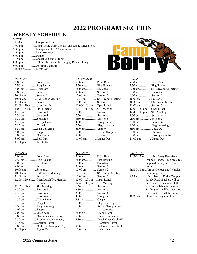### **WEEKLY SCHEDULE**

### *SUNDAY*

| $11:00$ amTroop Check In                                            |                                                       |
|---------------------------------------------------------------------|-------------------------------------------------------|
|                                                                     | 1:00 pmCamp Tour, Swim Checks, and Range Orientations |
|                                                                     | 5:30 pmEmergency Drill / Announcements                |
|                                                                     |                                                       |
| $6:00 \text{ pm} \dots \dots \dots \dots \dots \dots \text{Dinner}$ |                                                       |
|                                                                     | 7:15 pmChapel @ Council Ring                          |
|                                                                     | 8:00 pmSPL & SM/Leader Meeting @ Donnell Lodge        |
|                                                                     | 9:00 pmOpening Campfire                               |
| 11:00 pmLights Out                                                  |                                                       |
|                                                                     |                                                       |

#### *MONDAY*

| 7:00 amPolar Bear                                             |
|---------------------------------------------------------------|
| 7:50 amFlag Raising                                           |
| 8:00 amBreakfast                                              |
| $9:00$ amSession 1                                            |
| $10:00$ amSession 2                                           |
| 10:30 amSM/Leader Meeting                                     |
| $11:00$ amSession 3                                           |
| $12:00-1:20$ pmOpen Lunch                                     |
| 1:00-1:15 pmSPL Meeting                                       |
| $1:30 \text{ pm} \dots \dots \dots \dots$ Session 4           |
| 2:30 pmSession 5                                              |
| $3:30$ pmSession 6                                            |
| $4:30 \text{ pm} \dots \dots \dots \dots$ Troop Time          |
| $5:15 \text{ pm} \dots \dots \dots \dots \dots \text{Chapel}$ |
| 5:50 pmFlag Lowering                                          |
| 6:00 pmSupper                                                 |
| 7:00 pmOpen Area                                              |
| 8:00 pmPool Party                                             |
| 11:00 pmLights Out                                            |

#### *TUESDAY*

| 7:00 amPolar Bear                                      |
|--------------------------------------------------------|
| 7:50 amFlag Raising                                    |
| 8:00 amBreakfast                                       |
| $9:00$ amSession 1                                     |
| $10:00$ amSession 2                                    |
| 10:30 amSM/Leader Meeting                              |
| $11:00$ amSession 3                                    |
| 12:00-1:20 pmOpen Lunch/OA Member                      |
| Lunch                                                  |
| 12:45-1:00 pmSPL Meeting                               |
| $1:30$ pm Session 4                                    |
| 2:30 pmSession 5                                       |
| 3:30 pmSession 6                                       |
| 4:30 pmTroop Time                                      |
| 5:15 pmChapel                                          |
| 5:50 pmFlag Lowering                                   |
| $6:00 \text{ pm} \dots \dots \dots \dots \text{Super}$ |
| 7:00 pm Open Area                                      |
| 8:00 pmOA Ordeal Ceremony                              |
| 9:30 pm Brotherhood Ceremony                           |
| 9:45 pmCracker Barrel                                  |
| 9:00 pmOutbound (rain plan Th)                         |
| 11:00 pm Lights Out                                    |
|                                                        |



| $7:00$ amPolar Bear                                        |
|------------------------------------------------------------|
| 7:50 amFlag Raising                                        |
| 8:00 amBreakfast                                           |
| 9:00 amSession 1                                           |
| 10:00 amSession 2                                          |
| 10:30 amSM/Leader Meeting                                  |
| 11:00 amSession 3                                          |
| 12:00-1:20 pmOpen Lunch                                    |
| 12:45-1:00 pmSPL Meeting                                   |
| 1:30 pm Session 4                                          |
| 2:30 pmSession 5                                           |
| 3:30 pmSession 6                                           |
| $4:30 \text{ pm} \dots \dots \dots \dots \dots$ Troop Time |
| 5:50 pmFlag Lowering                                       |
| $6:00 \text{ pm} \dots \dots \dots \dots \text{Super}$     |
| 7:30 pmBerry Olympics                                      |
| 9:30 pmCracker Barrel                                      |
| 11:00 pm Lights Out                                        |
|                                                            |

#### *THURSDAY*

| $7:00$ amPolar Bear         |
|-----------------------------|
| 7:50 amFlag Raising         |
| 8:00 amBreakfast            |
| $9:00$ amSession 1          |
| $10:00$ amSession 2         |
| 10:30 amSM/Leader Meeting   |
| $11:00$ amSession 3         |
| $12:00-1:20$ pmOpen Lunch   |
| 12:45-1:00 pmSPL Meeting    |
| 1:30 pm Session 4           |
| 2:30 pmSession 5            |
| $3:30 \text{ pm}$ Session 6 |
| 4:30 pmTroop Time           |
| 5:15 pmChapel               |
| 5:50 pmFlag Lowering        |
| 6:00 pmSupper/Troops cook   |
| in campsite                 |
| 7:00 pm Troop Night         |
| 7:30 pmChess Tournament     |
| 8:30 pmDutch Oven Cookoff/  |
| Cracker Barrel              |
| 9:30 pmOutbound Rain check  |
| 11:00 pm Lights Out         |
|                             |



#### *FRIDAY*

| 7:00 amPolar Bear                                               |
|-----------------------------------------------------------------|
| 7:50 amFlag Raising                                             |
| 8.00 amSM Breakfast/Meeting                                     |
| 8:00 amBreakfast                                                |
| $9:00$ amSession 1                                              |
| $10:00$ amSession 2                                             |
| 10:30 amSM/Leader Meeting                                       |
| $11:00$ amSession 3                                             |
| $12:00-1:20$ pmOpen Lunch                                       |
| 12:45-1:00 pmSPL Meeting                                        |
| 1:30 pm Session 4                                               |
| 2:30 pmSession 5                                                |
| 3:30 pmSession 6                                                |
| 4:30 pmFlag Lowering                                            |
| $5:50 \text{ pm} \dots \dots \dots \dots \dots \text{Cook-Out}$ |
| $6:00 \text{ pm}$ Carnival                                      |
| 9:00 pmClosing Campfire                                         |
| $11:00$ pm Lights Out                                           |
|                                                                 |

#### *SATURDAY*

| $7:45-8:15$ am<br>Big Berry Breakfast- |
|----------------------------------------|
| Donnell Lodge. A big breakfast         |
| prepared for anyone left in            |
| camp.                                  |
| 8:15-9:15 amTroops Reload and Vehicles |
| to Parking Lot                         |
| 9:15 amDismissal of Entire Camp at     |
| Parade Field (Packets will be          |
| distributed at this time, staff        |
| will be available for questions,       |
| Trading Post will be open, and         |
| check-out fees will be collected)      |
| 10:30 amCamp Berry gates close         |
|                                        |